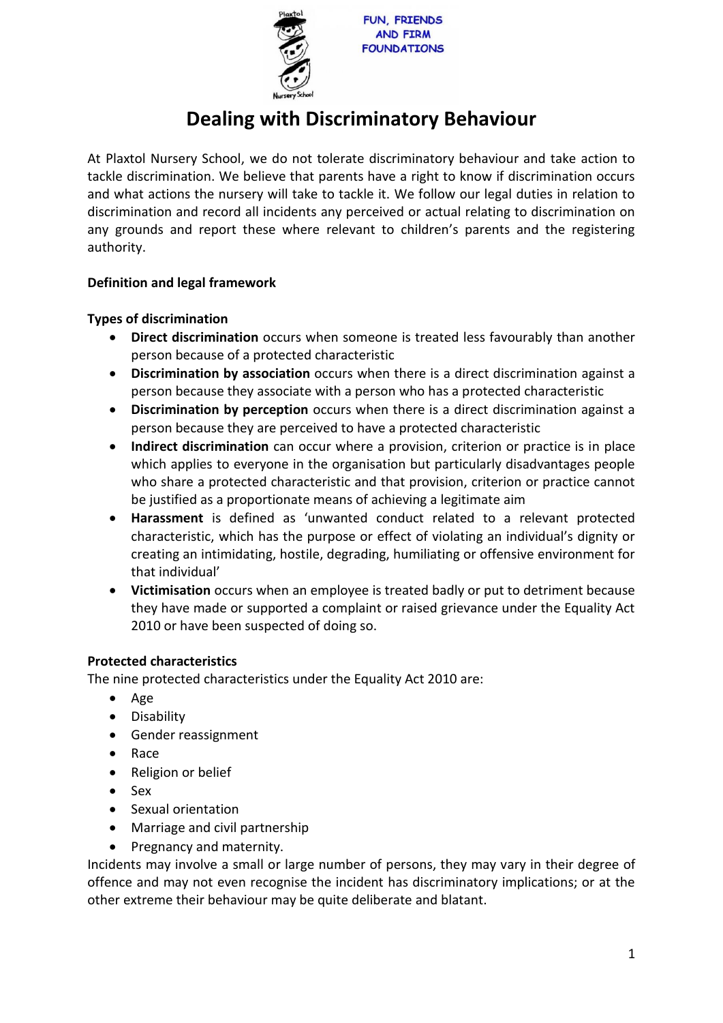

# **Dealing with Discriminatory Behaviour**

At Plaxtol Nursery School, we do not tolerate discriminatory behaviour and take action to tackle discrimination. We believe that parents have a right to know if discrimination occurs and what actions the nursery will take to tackle it. We follow our legal duties in relation to discrimination and record all incidents any perceived or actual relating to discrimination on any grounds and report these where relevant to children's parents and the registering authority.

# **Definition and legal framework**

# **Types of discrimination**

- **Direct discrimination** occurs when someone is treated less favourably than another person because of a protected characteristic
- **Discrimination by association** occurs when there is a direct discrimination against a person because they associate with a person who has a protected characteristic
- **Discrimination by perception** occurs when there is a direct discrimination against a person because they are perceived to have a protected characteristic
- **Indirect discrimination** can occur where a provision, criterion or practice is in place which applies to everyone in the organisation but particularly disadvantages people who share a protected characteristic and that provision, criterion or practice cannot be justified as a proportionate means of achieving a legitimate aim
- **Harassment** is defined as 'unwanted conduct related to a relevant protected characteristic, which has the purpose or effect of violating an individual's dignity or creating an intimidating, hostile, degrading, humiliating or offensive environment for that individual'
- **Victimisation** occurs when an employee is treated badly or put to detriment because they have made or supported a complaint or raised grievance under the Equality Act 2010 or have been suspected of doing so.

## **Protected characteristics**

The nine protected characteristics under the Equality Act 2010 are:

- Age
- Disability
- Gender reassignment
- Race
- Religion or belief
- Sex
- Sexual orientation
- Marriage and civil partnership
- Pregnancy and maternity.

Incidents may involve a small or large number of persons, they may vary in their degree of offence and may not even recognise the incident has discriminatory implications; or at the other extreme their behaviour may be quite deliberate and blatant.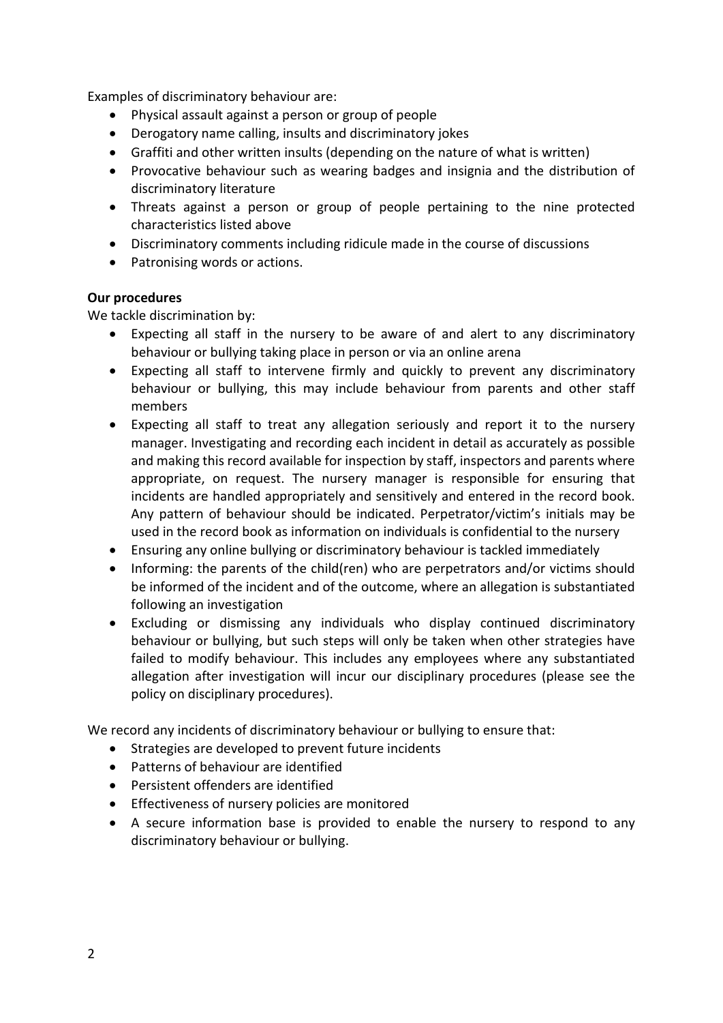Examples of discriminatory behaviour are:

- Physical assault against a person or group of people
- Derogatory name calling, insults and discriminatory jokes
- Graffiti and other written insults (depending on the nature of what is written)
- Provocative behaviour such as wearing badges and insignia and the distribution of discriminatory literature
- Threats against a person or group of people pertaining to the nine protected characteristics listed above
- Discriminatory comments including ridicule made in the course of discussions
- Patronising words or actions.

### **Our procedures**

We tackle discrimination by:

- Expecting all staff in the nursery to be aware of and alert to any discriminatory behaviour or bullying taking place in person or via an online arena
- Expecting all staff to intervene firmly and quickly to prevent any discriminatory behaviour or bullying, this may include behaviour from parents and other staff members
- Expecting all staff to treat any allegation seriously and report it to the nursery manager. Investigating and recording each incident in detail as accurately as possible and making this record available for inspection by staff, inspectors and parents where appropriate, on request. The nursery manager is responsible for ensuring that incidents are handled appropriately and sensitively and entered in the record book. Any pattern of behaviour should be indicated. Perpetrator/victim's initials may be used in the record book as information on individuals is confidential to the nursery
- Ensuring any online bullying or discriminatory behaviour is tackled immediately
- Informing: the parents of the child(ren) who are perpetrators and/or victims should be informed of the incident and of the outcome, where an allegation is substantiated following an investigation
- Excluding or dismissing any individuals who display continued discriminatory behaviour or bullying, but such steps will only be taken when other strategies have failed to modify behaviour. This includes any employees where any substantiated allegation after investigation will incur our disciplinary procedures (please see the policy on disciplinary procedures).

We record any incidents of discriminatory behaviour or bullying to ensure that:

- Strategies are developed to prevent future incidents
- Patterns of behaviour are identified
- Persistent offenders are identified
- Effectiveness of nursery policies are monitored
- A secure information base is provided to enable the nursery to respond to any discriminatory behaviour or bullying.